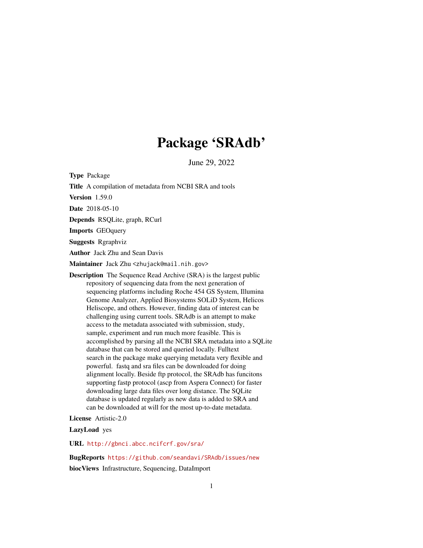# Package 'SRAdb'

June 29, 2022

<span id="page-0-0"></span>Type Package Title A compilation of metadata from NCBI SRA and tools Version 1.59.0 Date 2018-05-10 Depends RSQLite, graph, RCurl Imports GEOquery Suggests Rgraphviz Author Jack Zhu and Sean Davis Maintainer Jack Zhu <zhujack@mail.nih.gov> Description The Sequence Read Archive (SRA) is the largest public repository of sequencing data from the next generation of sequencing platforms including Roche 454 GS System, Illumina Genome Analyzer, Applied Biosystems SOLiD System, Helicos Heliscope, and others. However, finding data of interest can be challenging using current tools. SRAdb is an attempt to make access to the metadata associated with submission, study, sample, experiment and run much more feasible. This is accomplished by parsing all the NCBI SRA metadata into a SQLite database that can be stored and queried locally. Fulltext search in the package make querying metadata very flexible and powerful. fastq and sra files can be downloaded for doing alignment locally. Beside ftp protocol, the SRAdb has funcitons supporting fastp protocol (ascp from Aspera Connect) for faster downloading large data files over long distance. The SQLite database is updated regularly as new data is added to SRA and can be downloaded at will for the most up-to-date metadata.

License Artistic-2.0

LazyLoad yes

URL <http://gbnci.abcc.ncifcrf.gov/sra/>

BugReports <https://github.com/seandavi/SRAdb/issues/new> biocViews Infrastructure, Sequencing, DataImport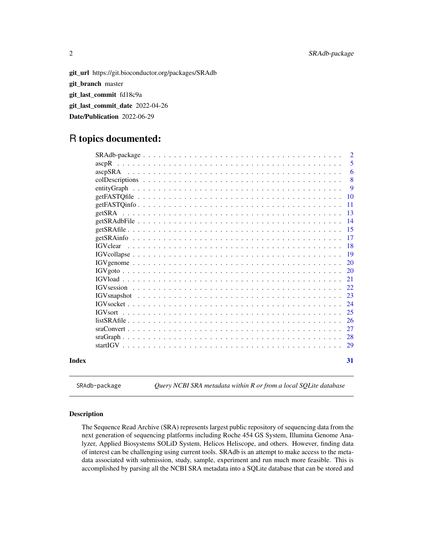git\_url https://git.bioconductor.org/packages/SRAdb git\_branch master git\_last\_commit fd18c9a git\_last\_commit\_date 2022-04-26 Date/Publication 2022-06-29

# R topics documented:

|       |                                                                                                                     |  |  |  |  |  |  |  |  |  |  |  |  |  |  | $\overline{2}$ |
|-------|---------------------------------------------------------------------------------------------------------------------|--|--|--|--|--|--|--|--|--|--|--|--|--|--|----------------|
|       | ascpR                                                                                                               |  |  |  |  |  |  |  |  |  |  |  |  |  |  | 5              |
|       |                                                                                                                     |  |  |  |  |  |  |  |  |  |  |  |  |  |  | 6              |
|       |                                                                                                                     |  |  |  |  |  |  |  |  |  |  |  |  |  |  | 8              |
|       |                                                                                                                     |  |  |  |  |  |  |  |  |  |  |  |  |  |  | 9              |
|       |                                                                                                                     |  |  |  |  |  |  |  |  |  |  |  |  |  |  | 10             |
|       |                                                                                                                     |  |  |  |  |  |  |  |  |  |  |  |  |  |  | 11             |
|       |                                                                                                                     |  |  |  |  |  |  |  |  |  |  |  |  |  |  | -13            |
|       |                                                                                                                     |  |  |  |  |  |  |  |  |  |  |  |  |  |  | 14             |
|       |                                                                                                                     |  |  |  |  |  |  |  |  |  |  |  |  |  |  | 15             |
|       |                                                                                                                     |  |  |  |  |  |  |  |  |  |  |  |  |  |  | 17             |
|       |                                                                                                                     |  |  |  |  |  |  |  |  |  |  |  |  |  |  | 18             |
|       |                                                                                                                     |  |  |  |  |  |  |  |  |  |  |  |  |  |  | 19             |
|       |                                                                                                                     |  |  |  |  |  |  |  |  |  |  |  |  |  |  | 20             |
|       |                                                                                                                     |  |  |  |  |  |  |  |  |  |  |  |  |  |  | 20             |
|       |                                                                                                                     |  |  |  |  |  |  |  |  |  |  |  |  |  |  | 21             |
|       |                                                                                                                     |  |  |  |  |  |  |  |  |  |  |  |  |  |  | 22             |
|       |                                                                                                                     |  |  |  |  |  |  |  |  |  |  |  |  |  |  | 23             |
|       | $IGVsocket \dots \dots \dots \dots \dots \dots \dots \dots \dots \dots \dots \dots \dots \dots \dots \dots \dots$   |  |  |  |  |  |  |  |  |  |  |  |  |  |  | 24             |
|       | <b>IGVsort</b>                                                                                                      |  |  |  |  |  |  |  |  |  |  |  |  |  |  | 25             |
|       |                                                                                                                     |  |  |  |  |  |  |  |  |  |  |  |  |  |  | 26             |
|       | $\text{graConvert} \dots \dots \dots \dots \dots \dots \dots \dots \dots \dots \dots \dots \dots \dots \dots \dots$ |  |  |  |  |  |  |  |  |  |  |  |  |  |  | 27             |
|       |                                                                                                                     |  |  |  |  |  |  |  |  |  |  |  |  |  |  | 28             |
|       |                                                                                                                     |  |  |  |  |  |  |  |  |  |  |  |  |  |  | 29             |
| Index |                                                                                                                     |  |  |  |  |  |  |  |  |  |  |  |  |  |  | 31             |

SRAdb-package *Query NCBI SRA metadata within R or from a local SQLite database*

# Description

The Sequence Read Archive (SRA) represents largest public repository of sequencing data from the next generation of sequencing platforms including Roche 454 GS System, Illumina Genome Analyzer, Applied Biosystems SOLiD System, Helicos Heliscope, and others. However, finding data of interest can be challenging using current tools. SRAdb is an attempt to make access to the metadata associated with submission, study, sample, experiment and run much more feasible. This is accomplished by parsing all the NCBI SRA metadata into a SQLite database that can be stored and

<span id="page-1-0"></span>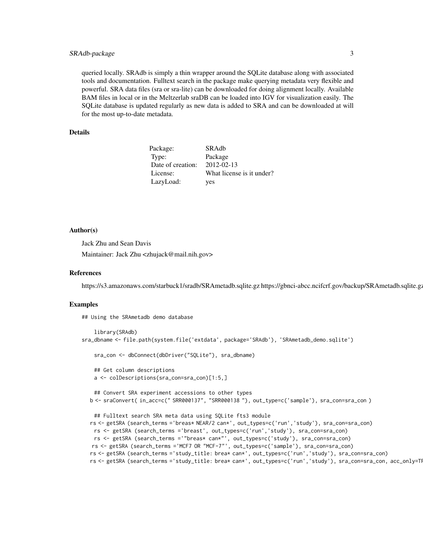## SRAdb-package 3

queried locally. SRAdb is simply a thin wrapper around the SQLite database along with associated tools and documentation. Fulltext search in the package make querying metadata very flexible and powerful. SRA data files (sra or sra-lite) can be downloaded for doing alignment locally. Available BAM files in local or in the Meltzerlab sraDB can be loaded into IGV for visualization easily. The SQLite database is updated regularly as new data is added to SRA and can be downloaded at will for the most up-to-date metadata.

## Details

| Package:          | SRAdb                     |
|-------------------|---------------------------|
| Type:             | Package                   |
| Date of creation: | $2012 - 02 - 13$          |
| License:          | What license is it under? |
| LazyLoad:         | yes                       |

## Author(s)

Jack Zhu and Sean Davis

Maintainer: Jack Zhu <zhujack@mail.nih.gov>

## References

https://s3.amazonaws.com/starbuck1/sradb/SRAmetadb.sqlite.gz https://gbnci-abcc.ncifcrf.gov/backup/SRAmetadb.sqlite.gz

#### Examples

## Using the SRAmetadb demo database

```
library(SRAdb)
sra_dbname <- file.path(system.file('extdata', package='SRAdb'), 'SRAmetadb_demo.sqlite')
   sra_con <- dbConnect(dbDriver("SQLite"), sra_dbname)
   ## Get column descriptions
   a <- colDescriptions(sra_con=sra_con)[1:5,]
   ## Convert SRA experiment accessions to other types
  b <- sraConvert( in_acc=c(" SRR000137", "SRR000138 "), out_type=c('sample'), sra_con=sra_con )
   ## Fulltext search SRA meta data using SQLite fts3 module
  rs <- getSRA (search_terms ='breas* NEAR/2 can*', out_types=c('run','study'), sra_con=sra_con)
   rs <- getSRA (search_terms ='breast', out_types=c('run','study'), sra_con=sra_con)
   rs <- getSRA (search_terms ='"breas* can*"', out_types=c('study'), sra_con=sra_con)
   rs <- getSRA (search_terms ='MCF7 OR "MCF-7"', out_types=c('sample'), sra_con=sra_con)
  rs <- getSRA (search_terms ='study_title: brea* can*', out_types=c('run','study'), sra_con=sra_con)
  rs <- getSRA (search_terms ='study_title: brea* can*', out_types=c('run','study'), sra_con=sra_con, acc_only=TI
```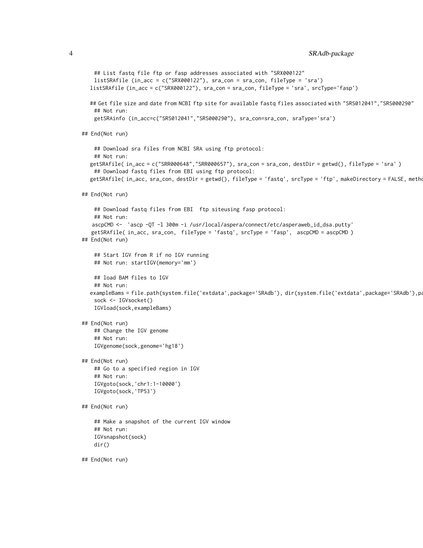```
## List fastq file ftp or fasp addresses associated with "SRX000122"
   listSRAfile (in_acc = c("SRX000122"), sra_con = sra_con, fileType = 'sra')
  listSRAfile (in_acc = c("SRX000122"), sra_con = sra_con, fileType = 'sra', srcType='fasp')
  ## Get file size and date from NCBI ftp site for available fastq files associated with "SRS012041", "SRS000290"
   ## Not run:
   getSRAinfo (in_acc=c("SRS012041","SRS000290"), sra_con=sra_con, sraType='sra')
## End(Not run)
    ## Download sra files from NCBI SRA using ftp protocol:
   ## Not run:
  getSRAfile( in_acc = c("SRR000648","SRR000657"), sra_con = sra_con, destDir = getwd(), fileType = 'sra' )
    ## Download fastq files from EBI using ftp protocol:
  getSRAfile( in_acc, sra_con, destDir = getwd(), fileType = 'fastq', srcType = 'ftp', makeDirectory = FALSE, metho
## End(Not run)
   ## Download fastq files from EBI ftp siteusing fasp protocol:
   ## Not run:
   ascpCMD <- 'ascp -QT -l 300m -i /usr/local/aspera/connect/etc/asperaweb_id_dsa.putty'
   getSRAfile( in_acc, sra_con, fileType = 'fastq', srcType = 'fasp', ascpCMD = ascpCMD )
## End(Not run)
   ## Start IGV from R if no IGV running
   ## Not run: startIGV(memory='mm')
   ## load BAM files to IGV
    ## Not run:
  exampleBams = file.path(system.file('extdata',package='SRAdb'), dir(system.file('extdata',package='SRAdb'),pa
    sock <- IGVsocket()
   IGVload(sock,exampleBams)
## End(Not run)
   ## Change the IGV genome
    ## Not run:
   IGVgenome(sock,genome='hg18')
## End(Not run)
    ## Go to a specified region in IGV
   ## Not run:
   IGVgoto(sock,'chr1:1-10000')
   IGVgoto(sock,'TP53')
## End(Not run)
    ## Make a snapshot of the current IGV window
    ## Not run:
   IGVsnapshot(sock)
   dir()
## End(Not run)
```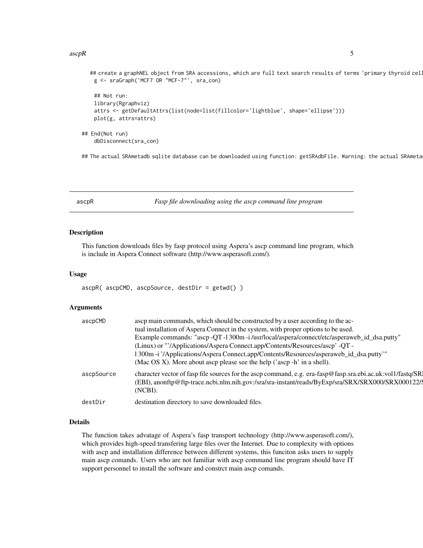## <span id="page-4-0"></span> $ascpR$  5

```
## create a graphNEL object from SRA accessions, which are full text search results of terms 'primary thyroid cel
   g <- sraGraph('MCF7 OR "MCF-7"', sra_con)
   ## Not run:
   library(Rgraphviz)
   attrs <- getDefaultAttrs(list(node=list(fillcolor='lightblue', shape='ellipse')))
   plot(g, attrs=attrs)
## End(Not run)
    dbDisconnect(sra_con)
```
## The actual SRAmetadb sqlite database can be downloaded using function: getSRAdbFile. Warning: the actual SRAmeta

<span id="page-4-1"></span>ascpR *Fasp file downloading using the ascp command line program*

## Description

This function downloads files by fasp protocol using Aspera's ascp command line program, which is include in Aspera Connect software (http://www.asperasoft.com/).

# Usage

ascpR( ascpCMD, ascpSource, destDir = getwd() )

## Arguments

| ascpCMD    | ascp main commands, which should be constructed by a user according to the ac-                                                                                                                                             |
|------------|----------------------------------------------------------------------------------------------------------------------------------------------------------------------------------------------------------------------------|
|            | tual installation of Aspera Connect in the system, with proper options to be used.                                                                                                                                         |
|            | Example commands: "ascp -QT -1300m -i/usr/local/aspera/connect/etc/asperaweb_id_dsa.putty"                                                                                                                                 |
|            | (Linux) or "'/Applications/Aspera Connect.app/Contents/Resources/ascp' -QT -                                                                                                                                               |
|            | 1300m -i '/Applications/Aspera Connect.app/Contents/Resources/asperaweb_id_dsa.putty'"                                                                                                                                     |
|            | (Mac OS X). More about ascp please see the help ( $\alpha$ ascp -h $\alpha$ in a shell).                                                                                                                                   |
| ascpSource | character vector of fasp file sources for the ascp command, e.g. era-fasp@fasp.sra.ebi.ac.uk:vol1/fastq/SR<br>(EBI), anonftp@ftp-trace.ncbi.nlm.nih.gov:/sra/sra-instant/reads/ByExp/sra/SRX/SRX000/SRX000122/9<br>(NCBI). |
| destDir    | destination directory to save downloaded files.                                                                                                                                                                            |

## Details

The function takes advatage of Aspera's fasp transport technology (http://www.asperasoft.com/), which provides high-speed transfering large files over the Internet. Due to complexity with options with ascp and installation difference between different systems, this funciton asks users to supply main ascp comands. Users who are not familiar with ascp command line program should have IT support personnel to install the software and constrct main ascp comands.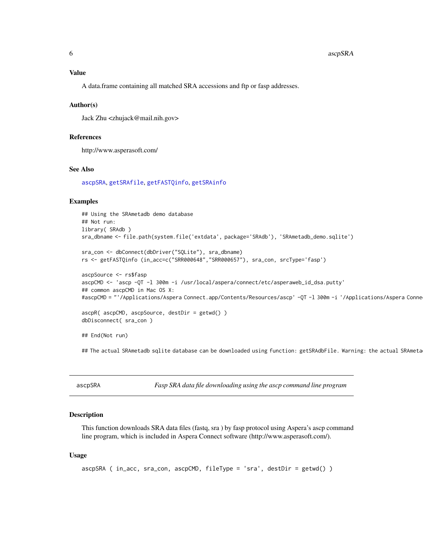## <span id="page-5-0"></span>Value

A data.frame containing all matched SRA accessions and ftp or fasp addresses.

## Author(s)

Jack Zhu <zhujack@mail.nih.gov>

# References

http://www.asperasoft.com/

## See Also

[ascpSRA](#page-5-1), [getSRAfile](#page-14-1), [getFASTQinfo](#page-10-1), [getSRAinfo](#page-16-1)

## Examples

```
## Using the SRAmetadb demo database
## Not run:
library( SRAdb )
sra_dbname <- file.path(system.file('extdata', package='SRAdb'), 'SRAmetadb_demo.sqlite')
sra_con <- dbConnect(dbDriver("SQLite"), sra_dbname)
rs <- getFASTQinfo (in_acc=c("SRR000648","SRR000657"), sra_con, srcType='fasp')
ascpSource <- rs$fasp
ascpCMD <- 'ascp -QT -l 300m -i /usr/local/aspera/connect/etc/asperaweb_id_dsa.putty'
## common ascpCMD in Mac OS X:
#ascpCMD = "'/Applications/Aspera Connect.app/Contents/Resources/ascp' -QT -1 300m -i '/Applications/Aspera Conne
ascpR( ascpCMD, ascpSource, destDir = getwd() )
dbDisconnect( sra_con )
```
## End(Not run)

## The actual SRAmetadb sqlite database can be downloaded using function: getSRAdbFile. Warning: the actual SRAmeta

<span id="page-5-1"></span>

| ascpSRA |
|---------|
|         |

Fasp SRA data file downloading using the ascp command line program

# Description

This function downloads SRA data files (fastq, sra ) by fasp protocol using Aspera's ascp command line program, which is included in Aspera Connect software (http://www.asperasoft.com/).

## Usage

```
ascpSRA ( in_acc, sra_con, ascpCMD, fileType = 'sra', destDir = getwd() )
```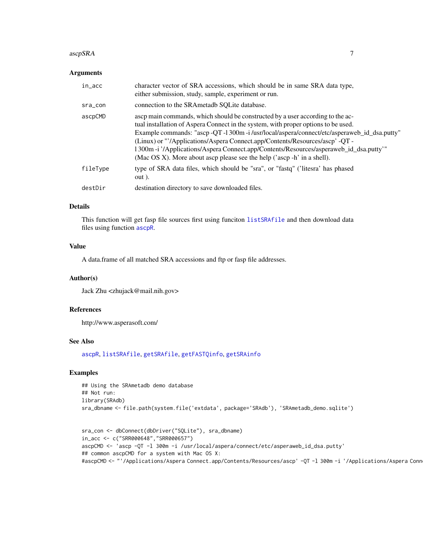## <span id="page-6-0"></span> $ascpSRA$  7

## Arguments

| in_acc   | character vector of SRA accessions, which should be in same SRA data type,<br>either submission, study, sample, experiment or run.                                                                                                                                                                                                                                                                                                                                                                                                       |
|----------|------------------------------------------------------------------------------------------------------------------------------------------------------------------------------------------------------------------------------------------------------------------------------------------------------------------------------------------------------------------------------------------------------------------------------------------------------------------------------------------------------------------------------------------|
| sra_con  | connection to the SRA metadb SOL ite database.                                                                                                                                                                                                                                                                                                                                                                                                                                                                                           |
| ascpCMD  | ascp main commands, which should be constructed by a user according to the ac-<br>tual installation of Aspera Connect in the system, with proper options to be used.<br>Example commands: "ascp -QT -1 300m -i/usr/local/aspera/connect/etc/asperaweb_id_dsa.putty"<br>(Linux) or "'/Applications/Aspera Connect.app/Contents/Resources/ascp' -QT -<br>1300m -i '/Applications/Aspera Connect.app/Contents/Resources/asperaweb_id_dsa.putty"<br>(Mac OS X). More about ascp please see the help ( $\alpha$ ascp -h $\alpha$ in a shell). |
| fileType | type of SRA data files, which should be "sra", or "fastq" ('litesra' has phased<br>out).                                                                                                                                                                                                                                                                                                                                                                                                                                                 |
| destDir  | destination directory to save downloaded files.                                                                                                                                                                                                                                                                                                                                                                                                                                                                                          |

### Details

This function will get fasp file sources first using funciton [listSRAfile](#page-25-1) and then download data files using function [ascpR](#page-4-1).

## Value

A data.frame of all matched SRA accessions and ftp or fasp file addresses.

# Author(s)

Jack Zhu <zhujack@mail.nih.gov>

# References

http://www.asperasoft.com/

## See Also

[ascpR](#page-4-1), [listSRAfile](#page-25-1), [getSRAfile](#page-14-1), [getFASTQinfo](#page-10-1), [getSRAinfo](#page-16-1)

# Examples

```
## Using the SRAmetadb demo database
## Not run:
library(SRAdb)
sra_dbname <- file.path(system.file('extdata', package='SRAdb'), 'SRAmetadb_demo.sqlite')
```

```
sra_con <- dbConnect(dbDriver("SQLite"), sra_dbname)
in_acc <- c("SRR000648","SRR000657")
ascpCMD <- 'ascp -QT -l 300m -i /usr/local/aspera/connect/etc/asperaweb_id_dsa.putty'
## common ascpCMD for a system with Mac OS X:
#ascpCMD <- "'/Applications/Aspera Connect.app/Contents/Resources/ascp' -QT -1 300m -i '/Applications/Aspera Conn
```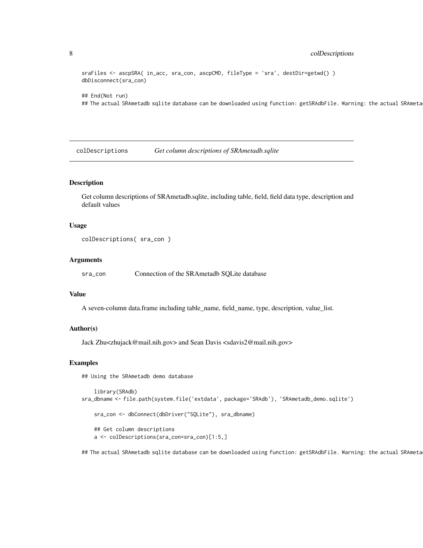# <span id="page-7-0"></span>8 colDescriptions

sraFiles <- ascpSRA( in\_acc, sra\_con, ascpCMD, fileType = 'sra', destDir=getwd() ) dbDisconnect(sra\_con)

## End(Not run)

## The actual SRAmetadb sqlite database can be downloaded using function: getSRAdbFile. Warning: the actual SRAmeta

colDescriptions *Get column descriptions of SRAmetadb.sqlite*

# Description

Get column descriptions of SRAmetadb.sqlite, including table, field, field data type, description and default values

## Usage

```
colDescriptions( sra_con )
```
## Arguments

sra\_con Connection of the SRAmetadb SQLite database

## Value

A seven-column data.frame including table\_name, field\_name, type, description, value\_list.

# Author(s)

Jack Zhu<zhujack@mail.nih.gov> and Sean Davis <sdavis2@mail.nih.gov>

## Examples

## Using the SRAmetadb demo database

```
library(SRAdb)
sra_dbname <- file.path(system.file('extdata', package='SRAdb'), 'SRAmetadb_demo.sqlite')
    sra_con <- dbConnect(dbDriver("SQLite"), sra_dbname)
```
## Get column descriptions a <- colDescriptions(sra\_con=sra\_con)[1:5,]

## The actual SRAmetadb sqlite database can be downloaded using function: getSRAdbFile. Warning: the actual SRAmeta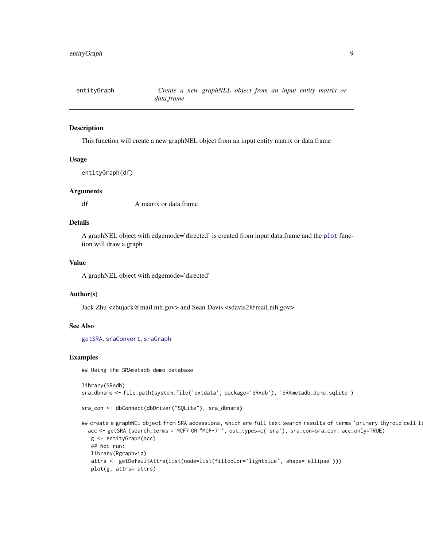<span id="page-8-1"></span><span id="page-8-0"></span>

# Description

This function will create a new graphNEL object from an input entity matrix or data.frame

## Usage

```
entityGraph(df)
```
## Arguments

df A matrix or data.frame

## Details

A graphNEL object with edgemode='directed' is created from input data.frame and the [plot](#page-0-0) function will draw a graph

# Value

A graphNEL object with edgemode='directed'

## Author(s)

Jack Zhu <zhujack@mail.nih.gov> and Sean Davis <sdavis2@mail.nih.gov>

# See Also

[getSRA](#page-12-1), [sraConvert](#page-26-1), [sraGraph](#page-27-1)

## Examples

## Using the SRAmetadb demo database

```
library(SRAdb)
sra_dbname <- file.path(system.file('extdata', package='SRAdb'), 'SRAmetadb_demo.sqlite')
```

```
sra_con <- dbConnect(dbDriver("SQLite"), sra_dbname)
```

```
## create a graphNEL object from SRA accessions, which are full text search results of terms 'primary thyroid cell l:
 acc <- getSRA (search_terms ='MCF7 OR "MCF-7"', out_types=c('sra'), sra_con=sra_con, acc_only=TRUE)
  g <- entityGraph(acc)
  ## Not run:
  library(Rgraphviz)
  attrs <- getDefaultAttrs(list(node=list(fillcolor='lightblue', shape='ellipse')))
  plot(g, attrs= attrs)
```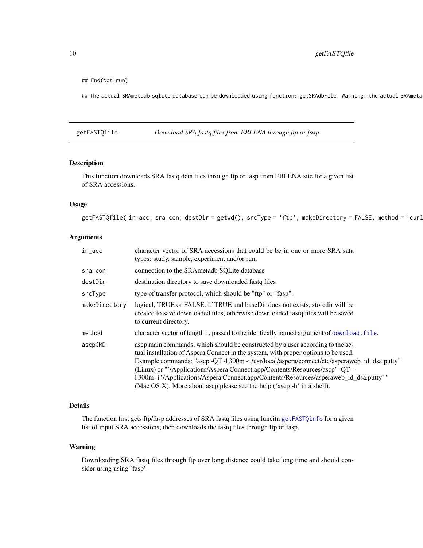<span id="page-9-0"></span>## End(Not run)

## The actual SRAmetadb sqlite database can be downloaded using function: getSRAdbFile. Warning: the actual SRAmeta

<span id="page-9-1"></span>getFASTQfile *Download SRA fastq files from EBI ENA through ftp or fasp*

## Description

This function downloads SRA fastq data files through ftp or fasp from EBI ENA site for a given list of SRA accessions.

## Usage

getFASTQfile( in\_acc, sra\_con, destDir = getwd(), srcType = 'ftp', makeDirectory = FALSE, method = 'curl

## Arguments

| in_acc        | character vector of SRA accessions that could be be in one or more SRA sata<br>types: study, sample, experiment and/or run.                                                                                                                                                                                                                                                                                                                                                                                                |
|---------------|----------------------------------------------------------------------------------------------------------------------------------------------------------------------------------------------------------------------------------------------------------------------------------------------------------------------------------------------------------------------------------------------------------------------------------------------------------------------------------------------------------------------------|
| sra_con       | connection to the SRAmetadb SOLite database                                                                                                                                                                                                                                                                                                                                                                                                                                                                                |
| destDir       | destination directory to save downloaded fastq files                                                                                                                                                                                                                                                                                                                                                                                                                                                                       |
| srcType       | type of transfer protocol, which should be "ftp" or "fasp".                                                                                                                                                                                                                                                                                                                                                                                                                                                                |
| makeDirectory | logical, TRUE or FALSE. If TRUE and baseDir does not exists, storedir will be<br>created to save downloaded files, otherwise downloaded fastq files will be saved<br>to current directory.                                                                                                                                                                                                                                                                                                                                 |
| method        | character vector of length 1, passed to the identically named argument of download. file.                                                                                                                                                                                                                                                                                                                                                                                                                                  |
| ascpCMD       | ascp main commands, which should be constructed by a user according to the ac-<br>tual installation of Aspera Connect in the system, with proper options to be used.<br>Example commands: "ascp -QT -1 300m -i/usr/local/aspera/connect/etc/asperaweb_id_dsa.putty"<br>(Linux) or "'/Applications/Aspera Connect.app/Contents/Resources/ascp' -QT -<br>1300m -i '/Applications/Aspera Connect.app/Contents/Resources/asperaweb_id_dsa.putty"<br>(Mac OS X). More about ascp please see the help ('ascp $-h$ ' in a shell). |

## Details

The function first gets ftp/fasp addresses of SRA fastq files using funcitn [getFASTQinfo](#page-10-1) for a given list of input SRA accessions; then downloads the fastq files through ftp or fasp.

# Warning

Downloading SRA fastq files through ftp over long distance could take long time and should consider using using 'fasp'.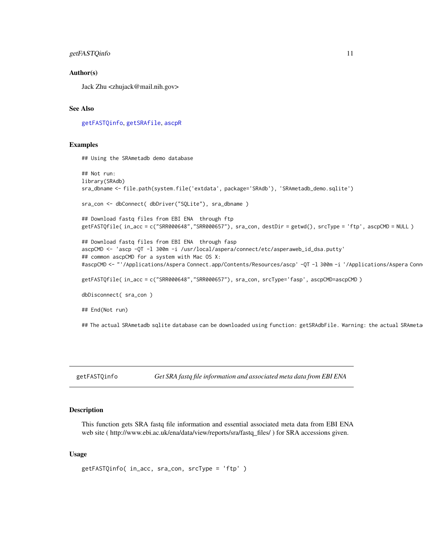## <span id="page-10-0"></span>getFASTQinfo 11

## Author(s)

Jack Zhu <zhujack@mail.nih.gov>

## See Also

[getFASTQinfo](#page-10-1), [getSRAfile](#page-14-1), [ascpR](#page-4-1)

## Examples

## Using the SRAmetadb demo database

```
## Not run:
library(SRAdb)
sra_dbname <- file.path(system.file('extdata', package='SRAdb'), 'SRAmetadb_demo.sqlite')
sra_con <- dbConnect( dbDriver("SQLite"), sra_dbname )
## Download fastq files from EBI ENA through ftp
getFASTQfile( in_acc = c("SRR000648","SRR000657"), sra_con, destDir = getwd(), srcType = 'ftp', ascpCMD = NULL )
## Download fastq files from EBI ENA through fasp
ascpCMD <- 'ascp -QT -l 300m -i /usr/local/aspera/connect/etc/asperaweb_id_dsa.putty'
## common ascpCMD for a system with Mac OS X:
#ascpCMD <- "'/Applications/Aspera Connect.app/Contents/Resources/ascp' -QT -l 300m -i '/Applications/Aspera Connect.app/Contents/Resources/asperaweb_id_dsa.putty'"
getFASTQfile( in_acc = c("SRR000648","SRR000657"), sra_con, srcType='fasp', ascpCMD=ascpCMD )
dbDisconnect( sra_con )
## End(Not run)
## The actual SRAmetadb sqlite database can be downloaded using function: getSRAdbFile. Warning: the actual SRAmeta
```
<span id="page-10-1"></span>getFASTQinfo *Get SRA fastq file information and associated meta data from EBI ENA*

## Description

This function gets SRA fastq file information and essential associated meta data from EBI ENA web site ( http://www.ebi.ac.uk/ena/data/view/reports/sra/fastq\_files/ ) for SRA accessions given.

#### Usage

```
getFASTQinfo( in_acc, sra_con, srcType = 'ftp' )
```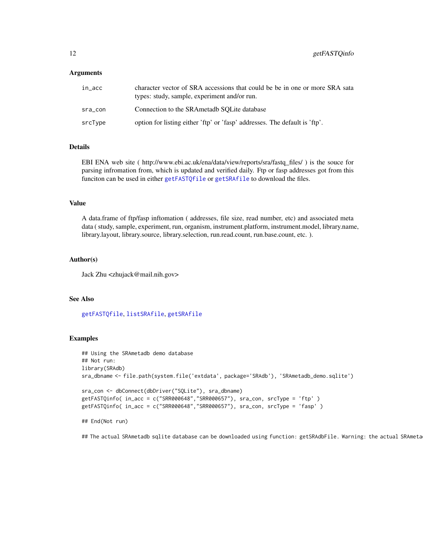### <span id="page-11-0"></span>Arguments

| in acc  | character vector of SRA accessions that could be be in one or more SRA sata<br>types: study, sample, experiment and/or run. |
|---------|-----------------------------------------------------------------------------------------------------------------------------|
| sra con | Connection to the SRAmetadb SOLite database                                                                                 |
| srcType | option for listing either 'ftp' or 'fasp' addresses. The default is 'ftp'.                                                  |

## Details

EBI ENA web site ( http://www.ebi.ac.uk/ena/data/view/reports/sra/fastq\_files/ ) is the souce for parsing infromation from, which is updated and verified daily. Ftp or fasp addresses got from this funciton can be used in either [getFASTQfile](#page-9-1) or [getSRAfile](#page-14-1) to download the files.

## Value

A data.frame of ftp/fasp inftomation ( addresses, file size, read number, etc) and associated meta data ( study, sample, experiment, run, organism, instrument.platform, instrument.model, library.name, library.layout, library.source, library.selection, run.read.count, run.base.count, etc. ).

## Author(s)

Jack Zhu <zhujack@mail.nih.gov>

## See Also

[getFASTQfile](#page-9-1), [listSRAfile](#page-25-1), [getSRAfile](#page-14-1)

# Examples

```
## Using the SRAmetadb demo database
## Not run:
library(SRAdb)
sra_dbname <- file.path(system.file('extdata', package='SRAdb'), 'SRAmetadb_demo.sqlite')
sra_con <- dbConnect(dbDriver("SQLite"), sra_dbname)
getFASTQinfo( in_acc = c("SRR000648","SRR000657"), sra_con, srcType = 'ftp' )
getFASTQinfo( in_acc = c("SRR000648","SRR000657"), sra_con, srcType = 'fasp' )
## End(Not run)
```
## The actual SRAmetadb sqlite database can be downloaded using function: getSRAdbFile. Warning: the actual SRAmeta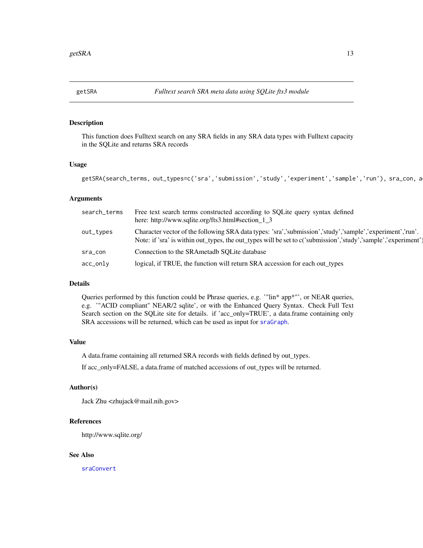<span id="page-12-1"></span><span id="page-12-0"></span>

# Description

This function does Fulltext search on any SRA fields in any SRA data types with Fulltext capacity in the SQLite and returns SRA records

## Usage

getSRA(search\_terms, out\_types=c('sra','submission','study','experiment','sample','run'), sra\_con, a

# Arguments

| search_terms | Free text search terms constructed according to SQLite query syntax defined<br>here: http://www.sqlite.org/fts3.html#section_1_3                                                                                            |
|--------------|-----------------------------------------------------------------------------------------------------------------------------------------------------------------------------------------------------------------------------|
| out_types    | Character vector of the following SRA data types: 'sra','submission','study','sample','experiment','run'.<br>Note: if 'sra' is within out_types, the out_types will be set to c('submission','study','sample','experiment') |
| sra_con      | Connection to the SRAmetadb SOLite database                                                                                                                                                                                 |
| $acc_only$   | logical, if TRUE, the function will return SRA accession for each out_types                                                                                                                                                 |

# Details

Queries performed by this function could be Phrase queries, e.g. '"lin\* app\*"', or NEAR queries, e.g. '"ACID compliant" NEAR/2 sqlite', or with the Enhanced Query Syntax. Check Full Text Search section on the SQLite site for details. if 'acc\_only=TRUE', a data.frame containing only SRA accessions will be returned, which can be used as input for [sraGraph](#page-27-1).

# Value

A data.frame containing all returned SRA records with fields defined by out\_types.

If acc\_only=FALSE, a data.frame of matched accessions of out\_types will be returned.

# Author(s)

Jack Zhu <zhujack@mail.nih.gov>

## References

http://www.sqlite.org/

# See Also

[sraConvert](#page-26-1)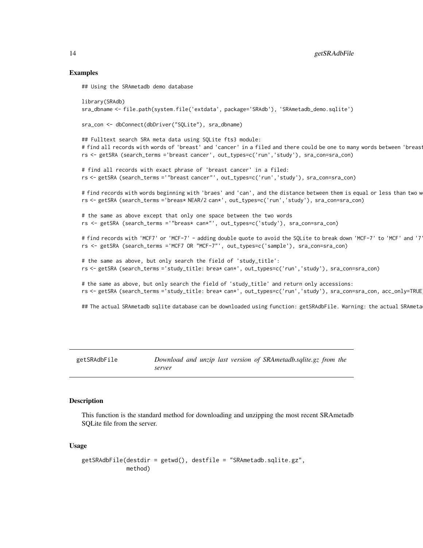## Examples

## Using the SRAmetadb demo database

```
library(SRAdb)
sra_dbname <- file.path(system.file('extdata', package='SRAdb'), 'SRAmetadb_demo.sqlite')
sra_con <- dbConnect(dbDriver("SQLite"), sra_dbname)
## Fulltext search SRA meta data using SQLite fts3 module:
# find all records with words of 'breast' and 'cancer' in a filed and there could be one to many words between 'breas
rs <- getSRA (search_terms ='breast cancer', out_types=c('run','study'), sra_con=sra_con)
# find all records with exact phrase of 'breast cancer' in a filed:
rs <- getSRA (search_terms ='"breast cancer"', out_types=c('run','study'), sra_con=sra_con)
# find records with words beginning with 'braes' and 'can', and the distance between them is equal or less than two w
rs <- getSRA (search_terms ='breas* NEAR/2 can*', out_types=c('run','study'), sra_con=sra_con)
# the same as above except that only one space between the two words
rs <- getSRA (search_terms ='"breas* can*"', out_types=c('study'), sra_con=sra_con)
# find records with 'MCF7' or 'MCF-7' - adding double quote to avoid the SQLite to break down 'MCF-7' to 'MCF' and '7
rs <- getSRA (search_terms ='MCF7 OR "MCF-7"', out_types=c('sample'), sra_con=sra_con)
# the same as above, but only search the field of 'study_title':
rs <- getSRA (search_terms ='study_title: brea* can*', out_types=c('run','study'), sra_con=sra_con)
# the same as above, but only search the field of 'study_title' and return only accessions:
rs <- getSRA (search_terms ='study_title: brea* can*', out_types=c('run','study'), sra_con=sra_con, acc_only=TRUE)
## The actual SRAmetadb sqlite database can be downloaded using function: getSRAdbFile. Warning: the actual SRAmeta
```

```
getSRAdbFile Download and unzip last version of SRAmetadb.sqlite.gz from the
                      server
```
## **Description**

This function is the standard method for downloading and unzipping the most recent SRAmetadb SQLite file from the server.

## Usage

```
getSRAdbFile(destdir = getwd(), destfile = "SRAmetadb.sqlite.gz",
            method)
```
<span id="page-13-0"></span>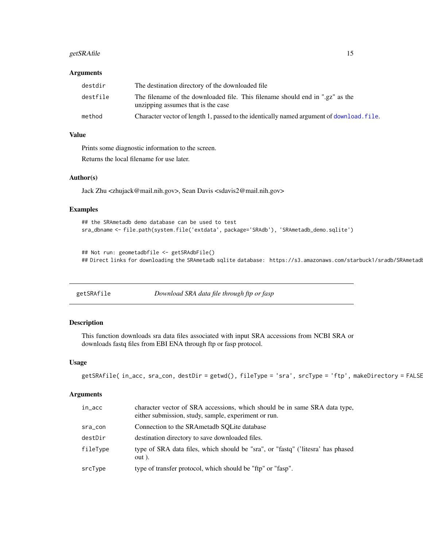# <span id="page-14-0"></span>getSRAfile 15

## **Arguments**

| destdir  | The destination directory of the downloaded file                                                                    |
|----------|---------------------------------------------------------------------------------------------------------------------|
| destfile | The filename of the downloaded file. This filename should end in ".gz" as the<br>unzipping assumes that is the case |
| method   | Character vector of length 1, passed to the identically named argument of download, file.                           |

# Value

Prints some diagnostic information to the screen.

Returns the local filename for use later.

# Author(s)

Jack Zhu <zhujack@mail.nih.gov>, Sean Davis <sdavis2@mail.nih.gov>

# Examples

```
## the SRAmetadb demo database can be used to test
sra_dbname <- file.path(system.file('extdata', package='SRAdb'), 'SRAmetadb_demo.sqlite')
```

```
## Not run: geometadbfile <- getSRAdbFile()
## Direct links for downloading the SRAmetadb sqlite database: https://s3.amazonaws.com/starbuck1/sradb/SRAmetadl
```
<span id="page-14-1"></span>

| getSRAfile | Download SRA data file through ftp or fasp |  |
|------------|--------------------------------------------|--|
|            |                                            |  |

## Description

This function downloads sra data files associated with input SRA accessions from NCBI SRA or downloads fastq files from EBI ENA through ftp or fasp protocol.

## Usage

```
getSRAfile( in_acc, sra_con, destDir = getwd(), fileType = 'sra', srcType = 'ftp', makeDirectory = FALSE
```
### Arguments

| in_acc   | character vector of SRA accessions, which should be in same SRA data type,<br>either submission, study, sample, experiment or run. |
|----------|------------------------------------------------------------------------------------------------------------------------------------|
| sra_con  | Connection to the SRAmetadb SOLite database                                                                                        |
| destDir  | destination directory to save downloaded files.                                                                                    |
| fileType | type of SRA data files, which should be "sra", or "fastq" ('litesra' has phased<br>out).                                           |
| srcType  | type of transfer protocol, which should be "ftp" or "fasp".                                                                        |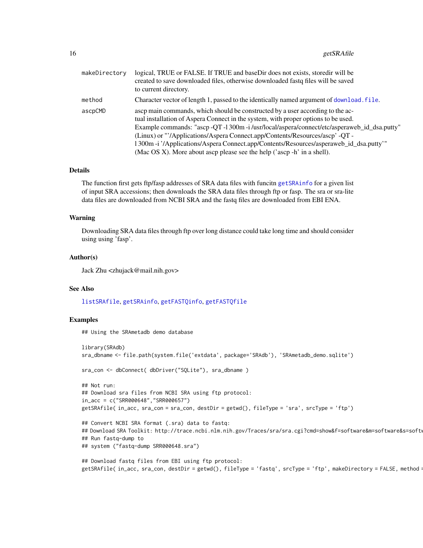<span id="page-15-0"></span>

| makeDirectory | logical, TRUE or FALSE. If TRUE and baseDir does not exists, storedir will be<br>created to save downloaded files, otherwise downloaded fastq files will be saved<br>to current directory.                                                                                                                                                                                                                                                                                                                              |
|---------------|-------------------------------------------------------------------------------------------------------------------------------------------------------------------------------------------------------------------------------------------------------------------------------------------------------------------------------------------------------------------------------------------------------------------------------------------------------------------------------------------------------------------------|
| method        | Character vector of length 1, passed to the identically named argument of download. file.                                                                                                                                                                                                                                                                                                                                                                                                                               |
| ascpCMD       | ascp main commands, which should be constructed by a user according to the ac-<br>tual installation of Aspera Connect in the system, with proper options to be used.<br>Example commands: "ascp -QT -1 300m -i/usr/local/aspera/connect/etc/asperaweb_id_dsa.putty"<br>(Linux) or "'/Applications/Aspera Connect.app/Contents/Resources/ascp' -QT -<br>1300m -i '/Applications/Aspera Connect.app/Contents/Resources/asperaweb_id_dsa.putty"<br>(Mac OS X). More about ascp please see the help ('ascp -h' in a shell). |

# Details

The function first gets ftp/fasp addresses of SRA data files with funcitn [getSRAinfo](#page-16-1) for a given list of input SRA accessions; then downloads the SRA data files through ftp or fasp. The sra or sra-lite data files are downloaded from NCBI SRA and the fastq files are downloaded from EBI ENA.

## Warning

Downloading SRA data files through ftp over long distance could take long time and should consider using using 'fasp'.

### Author(s)

Jack Zhu <zhujack@mail.nih.gov>

## See Also

## [listSRAfile](#page-25-1), [getSRAinfo](#page-16-1), [getFASTQinfo](#page-10-1), [getFASTQfile](#page-9-1)

## Examples

## Using the SRAmetadb demo database

```
library(SRAdb)
sra_dbname <- file.path(system.file('extdata', package='SRAdb'), 'SRAmetadb_demo.sqlite')
sra_con <- dbConnect( dbDriver("SQLite"), sra_dbname )
## Not run:
## Download sra files from NCBI SRA using ftp protocol:
in_acc = c("SRR000648","SRR000657")
getSRAfile( in_acc, sra_con = sra_con, destDir = getwd(), fileType = 'sra', srcType = 'ftp')
## Convert NCBI SRA format (.sra) data to fastq:
## Download SRA Toolkit: http://trace.ncbi.nlm.nih.gov/Traces/sra/sra.cgi?cmd=show&f=software&m=software&s=software
## Run fastq-dump to
## system ("fastq-dump SRR000648.sra")
```

```
## Download fastq files from EBI using ftp protocol:
getSRAfile( in_acc, sra_con, destDir = getwd(), fileType = 'fastq', srcType = 'ftp', makeDirectory = FALSE, method:
```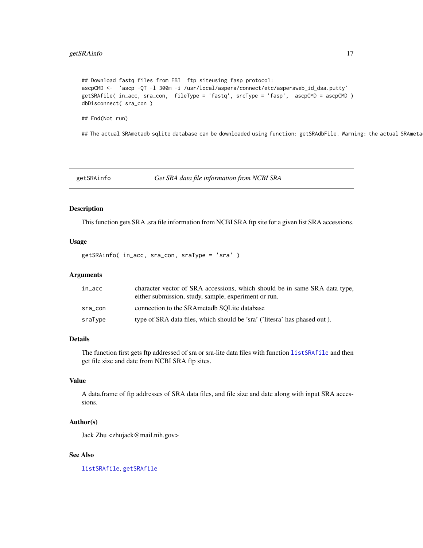# <span id="page-16-0"></span>getSRAinfo 17

```
## Download fastq files from EBI ftp siteusing fasp protocol:
ascpCMD <- 'ascp -QT -l 300m -i /usr/local/aspera/connect/etc/asperaweb_id_dsa.putty'
getSRAfile( in_acc, sra_con, fileType = 'fastq', srcType = 'fasp', ascpCMD = ascpCMD )
dbDisconnect( sra_con )
```
## End(Not run)

## The actual SRAmetadb sqlite database can be downloaded using function: getSRAdbFile. Warning: the actual SRAmeta

<span id="page-16-1"></span>getSRAinfo *Get SRA data file information from NCBI SRA*

## Description

This function gets SRA .sra file information from NCBI SRA ftp site for a given list SRA accessions.

## Usage

getSRAinfo( in\_acc, sra\_con, sraType = 'sra' )

## Arguments

| in_acc  | character vector of SRA accessions, which should be in same SRA data type,<br>either submission, study, sample, experiment or run. |
|---------|------------------------------------------------------------------------------------------------------------------------------------|
| sra_con | connection to the SRAmetadb SOLite database                                                                                        |
| sraType | type of SRA data files, which should be 'sra' ('litesra' has phased out).                                                          |

# Details

The function first gets ftp addressed of sra or sra-lite data files with function [listSRAfile](#page-25-1) and then get file size and date from NCBI SRA ftp sites.

# Value

A data.frame of ftp addresses of SRA data files, and file size and date along with input SRA accessions.

# Author(s)

Jack Zhu <zhujack@mail.nih.gov>

# See Also

[listSRAfile](#page-25-1), [getSRAfile](#page-14-1)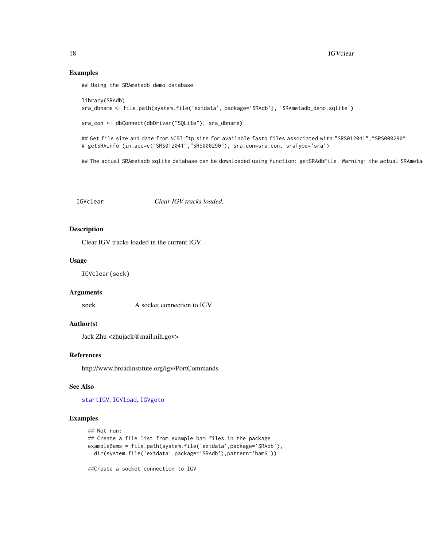# Examples

## Using the SRAmetadb demo database

```
library(SRAdb)
sra_dbname <- file.path(system.file('extdata', package='SRAdb'), 'SRAmetadb_demo.sqlite')
```

```
sra_con <- dbConnect(dbDriver("SQLite"), sra_dbname)
```
## Get file size and date from NCBI ftp site for available fastq files associated with "SRS012041", "SRS000290" # getSRAinfo (in\_acc=c("SRS012041","SRS000290"), sra\_con=sra\_con, sraType='sra')

## The actual SRAmetadb sqlite database can be downloaded using function: getSRAdbFile. Warning: the actual SRAmeta

IGVclear *Clear IGV tracks loaded.*

# Description

Clear IGV tracks loaded in the current IGV.

### Usage

IGVclear(sock)

# Arguments

sock A socket connection to IGV.

# Author(s)

Jack Zhu <zhujack@mail.nih.gov>

# References

http://www.broadinstitute.org/igv/PortCommands

## See Also

[startIGV](#page-28-1), [IGVload](#page-20-1), [IGVgoto](#page-19-1)

### Examples

```
## Not run:
## Create a file list from example bam files in the package
exampleBams = file.path(system.file('extdata',package='SRAdb'),
 dir(system.file('extdata',package='SRAdb'),pattern='bam$'))
##Create a socket connection to IGV
```
<span id="page-17-0"></span>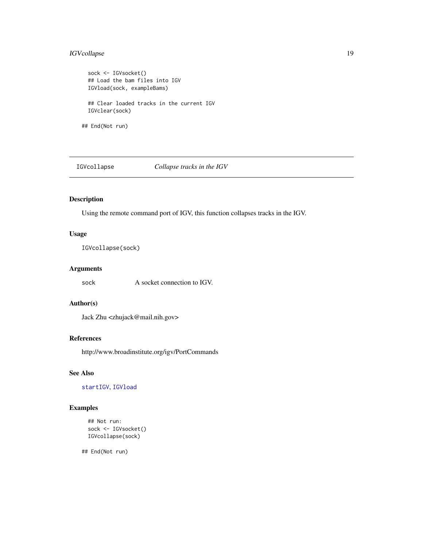# <span id="page-18-0"></span>IGVcollapse 19

sock <- IGVsocket() ## Load the bam files into IGV IGVload(sock, exampleBams) ## Clear loaded tracks in the current IGV IGVclear(sock) ## End(Not run)

IGVcollapse *Collapse tracks in the IGV*

# Description

Using the remote command port of IGV, this function collapses tracks in the IGV.

## Usage

IGVcollapse(sock)

# Arguments

sock A socket connection to IGV.

## Author(s)

Jack Zhu <zhujack@mail.nih.gov>

# References

http://www.broadinstitute.org/igv/PortCommands

# See Also

[startIGV](#page-28-1), [IGVload](#page-20-1)

# Examples

```
## Not run:
sock <- IGVsocket()
IGVcollapse(sock)
```
## End(Not run)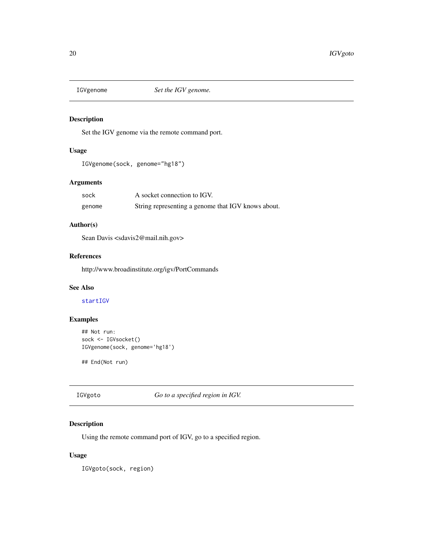<span id="page-19-2"></span><span id="page-19-0"></span>

# Description

Set the IGV genome via the remote command port.

# Usage

```
IGVgenome(sock, genome="hg18")
```
# Arguments

| sock   | A socket connection to IGV.                        |
|--------|----------------------------------------------------|
| genome | String representing a genome that IGV knows about. |

# Author(s)

Sean Davis <sdavis2@mail.nih.gov>

# References

http://www.broadinstitute.org/igv/PortCommands

# See Also

[startIGV](#page-28-1)

# Examples

```
## Not run:
sock <- IGVsocket()
IGVgenome(sock, genome='hg18')
```
## End(Not run)

<span id="page-19-1"></span>IGVgoto *Go to a specified region in IGV.*

# Description

Using the remote command port of IGV, go to a specified region.

# Usage

IGVgoto(sock, region)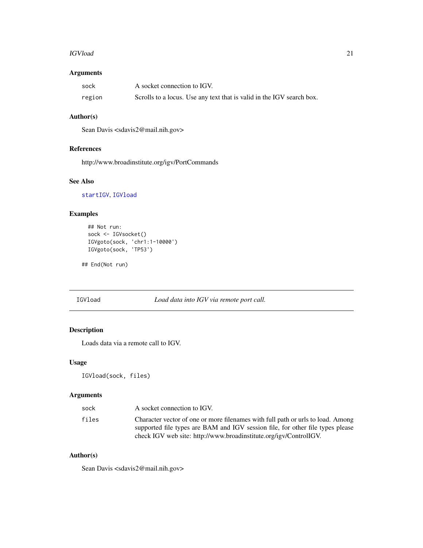## <span id="page-20-0"></span>IGVload 21

# Arguments

| sock   | A socket connection to IGV.                                           |
|--------|-----------------------------------------------------------------------|
| region | Scrolls to a locus. Use any text that is valid in the IGV search box. |

# Author(s)

Sean Davis <sdavis2@mail.nih.gov>

# References

http://www.broadinstitute.org/igv/PortCommands

# See Also

[startIGV](#page-28-1), [IGVload](#page-20-1)

# Examples

```
## Not run:
sock <- IGVsocket()
IGVgoto(sock, 'chr1:1-10000')
IGVgoto(sock, 'TP53')
```
## End(Not run)

# <span id="page-20-1"></span>IGVload *Load data into IGV via remote port call.*

# Description

Loads data via a remote call to IGV.

# Usage

IGVload(sock, files)

# Arguments

| sock  | A socket connection to IGV.                                                                                                                                                                                                            |
|-------|----------------------------------------------------------------------------------------------------------------------------------------------------------------------------------------------------------------------------------------|
| files | Character vector of one or more filenames with full path or urls to load. Among<br>supported file types are BAM and IGV session file, for other file types please<br>check IGV web site: http://www.broadinstitute.org/igy/ControlIGV. |

# Author(s)

Sean Davis <sdavis2@mail.nih.gov>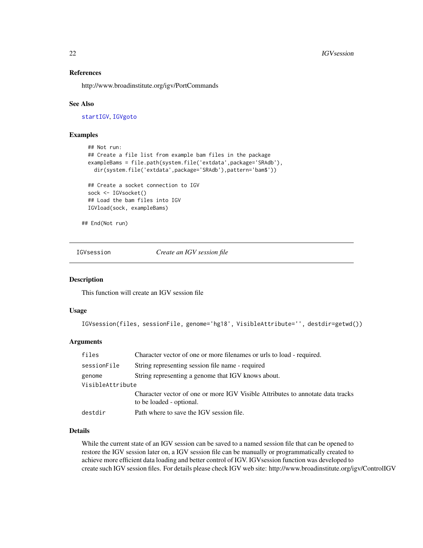## References

http://www.broadinstitute.org/igv/PortCommands

## See Also

[startIGV](#page-28-1), [IGVgoto](#page-19-1)

# Examples

```
## Not run:
## Create a file list from example bam files in the package
exampleBams = file.path(system.file('extdata',package='SRAdb'),
  dir(system.file('extdata',package='SRAdb'),pattern='bam$'))
## Create a socket connection to IGV
sock <- IGVsocket()
## Load the bam files into IGV
```
## End(Not run)

IGVload(sock, exampleBams)

IGVsession *Create an IGV session file*

## Description

This function will create an IGV session file

# Usage

```
IGVsession(files, sessionFile, genome='hg18', VisibleAttribute='', destdir=getwd())
```
# Arguments

| files            | Character vector of one or more filenames or urls to load - required.                                      |  |  |
|------------------|------------------------------------------------------------------------------------------------------------|--|--|
| sessionFile      | String representing session file name - required                                                           |  |  |
| genome           | String representing a genome that IGV knows about.                                                         |  |  |
| VisibleAttribute |                                                                                                            |  |  |
|                  | Character vector of one or more IGV Visible Attributes to annotate data tracks<br>to be loaded - optional. |  |  |
| destdir          | Path where to save the IGV session file.                                                                   |  |  |

# Details

While the current state of an IGV session can be saved to a named session file that can be opened to restore the IGV session later on, a IGV session file can be manually or programmatically created to achieve more efficient data loading and better control of IGV. IGVsession function was developed to create such IGV session files. For details please check IGV web site: http://www.broadinstitute.org/igv/ControlIGV

<span id="page-21-0"></span>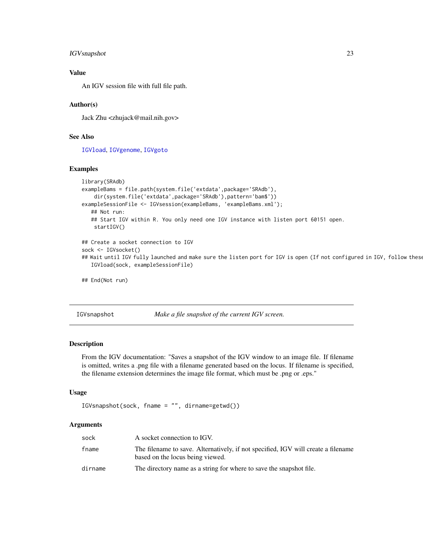# <span id="page-22-0"></span>IGVsnapshot 23

# Value

An IGV session file with full file path.

# Author(s)

Jack Zhu <zhujack@mail.nih.gov>

# See Also

[IGVload](#page-20-1), [IGVgenome](#page-19-2), [IGVgoto](#page-19-1)

## Examples

```
library(SRAdb)
exampleBams = file.path(system.file('extdata',package='SRAdb'),
   dir(system.file('extdata',package='SRAdb'),pattern='bam$'))
exampleSessionFile <- IGVsession(exampleBams, 'exampleBams.xml');
  ## Not run:
   ## Start IGV within R. You only need one IGV instance with listen port 60151 open.
   startIGV()
## Create a socket connection to IGV
sock <- IGVsocket()
## Wait until IGV fully launched and make sure the listen port for IGV is open (If not configured in IGV, follow thes
  IGVload(sock, exampleSessionFile)
```
## End(Not run)

IGVsnapshot *Make a file snapshot of the current IGV screen.*

# Description

From the IGV documentation: "Saves a snapshot of the IGV window to an image file. If filename is omitted, writes a .png file with a filename generated based on the locus. If filename is specified, the filename extension determines the image file format, which must be .png or .eps."

## Usage

```
IGVsnapshot(sock, fname = "", dirname=getwd())
```
# Arguments

| sock    | A socket connection to IGV.                                                                                           |
|---------|-----------------------------------------------------------------------------------------------------------------------|
| fname   | The filename to save. Alternatively, if not specified, IGV will create a filename<br>based on the locus being viewed. |
| dirname | The directory name as a string for where to save the snapshot file.                                                   |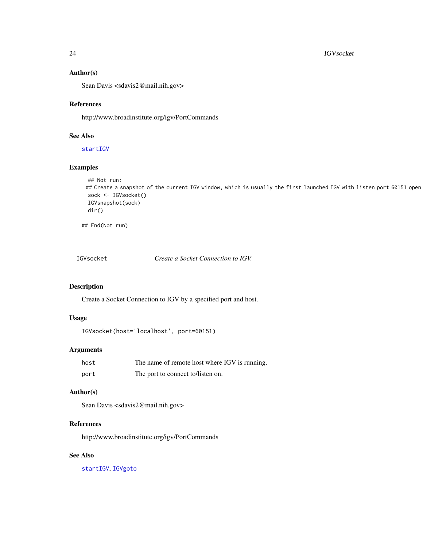## 24 **IGVsocket**

## Author(s)

Sean Davis <sdavis2@mail.nih.gov>

## References

http://www.broadinstitute.org/igv/PortCommands

# See Also

[startIGV](#page-28-1)

# Examples

```
## Not run:
## Create a snapshot of the current IGV window, which is usually the first launched IGV with listen port 60151 open
sock <- IGVsocket()
IGVsnapshot(sock)
dir()
```
## End(Not run)

IGVsocket *Create a Socket Connection to IGV.*

# Description

Create a Socket Connection to IGV by a specified port and host.

## Usage

```
IGVsocket(host='localhost', port=60151)
```
# Arguments

| host | The name of remote host where IGV is running. |
|------|-----------------------------------------------|
| port | The port to connect to/listen on.             |

# Author(s)

Sean Davis <sdavis2@mail.nih.gov>

## References

http://www.broadinstitute.org/igv/PortCommands

# See Also

[startIGV](#page-28-1), [IGVgoto](#page-19-1)

<span id="page-23-0"></span>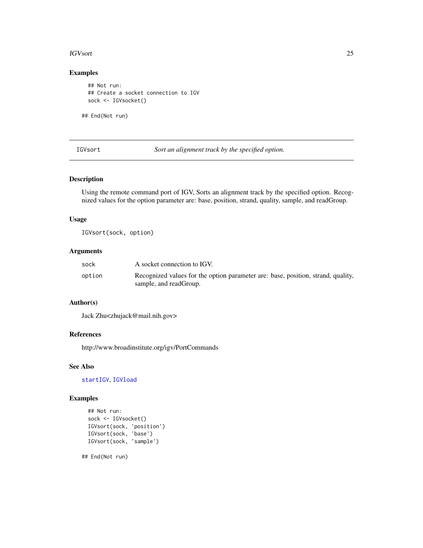## <span id="page-24-0"></span>IGVsort 25

# Examples

## Not run: ## Create a socket connection to IGV sock <- IGVsocket()

## End(Not run)

IGVsort *Sort an alignment track by the specified option.*

# Description

Using the remote command port of IGV, Sorts an alignment track by the specified option. Recognized values for the option parameter are: base, position, strand, quality, sample, and readGroup.

## Usage

IGVsort(sock, option)

# Arguments

| sock   | A socket connection to IGV.                                                                                |
|--------|------------------------------------------------------------------------------------------------------------|
| option | Recognized values for the option parameter are: base, position, strand, quality,<br>sample, and readGroup. |

# Author(s)

Jack Zhu<zhujack@mail.nih.gov>

# References

http://www.broadinstitute.org/igv/PortCommands

## See Also

[startIGV](#page-28-1), [IGVload](#page-20-1)

# Examples

```
## Not run:
sock <- IGVsocket()
IGVsort(sock, 'position')
IGVsort(sock, 'base')
IGVsort(sock, 'sample')
```
## End(Not run)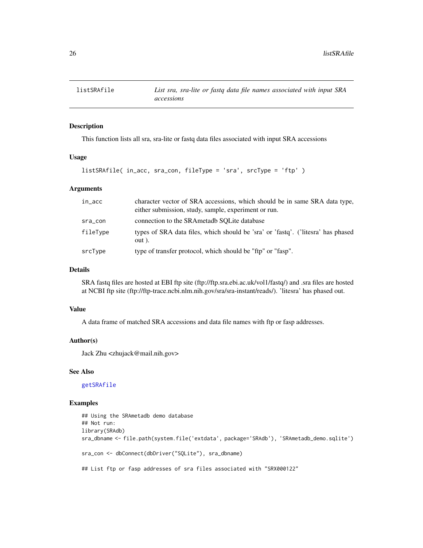<span id="page-25-1"></span><span id="page-25-0"></span>

# Description

This function lists all sra, sra-lite or fastq data files associated with input SRA accessions

## Usage

```
listSRAfile( in_acc, sra_con, fileType = 'sra', srcType = 'ftp' )
```
## Arguments

| in_acc   | character vector of SRA accessions, which should be in same SRA data type,<br>either submission, study, sample, experiment or run. |
|----------|------------------------------------------------------------------------------------------------------------------------------------|
| sra_con  | connection to the SRAmetadb SOLite database                                                                                        |
| fileType | types of SRA data files, which should be 'sra' or 'fastq'. ('litesra' has phased<br>out).                                          |
| srcType  | type of transfer protocol, which should be "ftp" or "fasp".                                                                        |

## Details

SRA fastq files are hosted at EBI ftp site (ftp://ftp.sra.ebi.ac.uk/vol1/fastq/) and .sra files are hosted at NCBI ftp site (ftp://ftp-trace.ncbi.nlm.nih.gov/sra/sra-instant/reads/). 'litesra' has phased out.

# Value

A data frame of matched SRA accessions and data file names with ftp or fasp addresses.

## Author(s)

Jack Zhu <zhujack@mail.nih.gov>

## See Also

[getSRAfile](#page-14-1)

# Examples

```
## Using the SRAmetadb demo database
## Not run:
library(SRAdb)
sra_dbname <- file.path(system.file('extdata', package='SRAdb'), 'SRAmetadb_demo.sqlite')
sra_con <- dbConnect(dbDriver("SQLite"), sra_dbname)
## List ftp or fasp addresses of sra files associated with "SRX000122"
```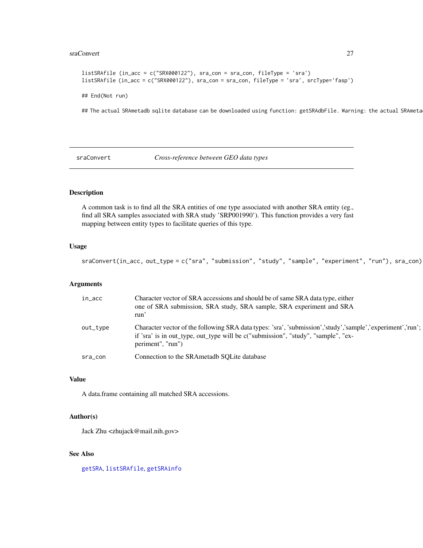## <span id="page-26-0"></span>sraConvert 27

```
listSRAfile (in_acc = c("SRX000122"), sra_con = sra_con, fileType = 'sra')
listSRAfile (in_acc = c("SRX000122"), sra_con = sra_con, fileType = 'sra', srcType='fasp')
```
## End(Not run)

## The actual SRAmetadb sqlite database can be downloaded using function: getSRAdbFile. Warning: the actual SRAmeta

<span id="page-26-1"></span>sraConvert *Cross-reference between GEO data types*

# Description

A common task is to find all the SRA entities of one type associated with another SRA entity (eg., find all SRA samples associated with SRA study 'SRP001990'). This function provides a very fast mapping between entity types to facilitate queries of this type.

## Usage

sraConvert(in\_acc, out\_type = c("sra", "submission", "study", "sample", "experiment", "run"), sra\_con)

# Arguments

| in_acc   | Character vector of SRA accessions and should be of same SRA data type, either<br>one of SRA submission, SRA study, SRA sample, SRA experiment and SRA<br>run'                                                       |
|----------|----------------------------------------------------------------------------------------------------------------------------------------------------------------------------------------------------------------------|
| out_type | Character vector of the following SRA data types: 'sra', 'submission','study','sample','experiment','run';<br>if 'sra' is in out_type, out_type will be c("submission", "study", "sample", "ex-<br>periment", "run") |
| sra_con  | Connection to the SRAmetadb SOLite database                                                                                                                                                                          |

## Value

A data.frame containing all matched SRA accessions.

## Author(s)

Jack Zhu <zhujack@mail.nih.gov>

# See Also

[getSRA](#page-12-1), [listSRAfile](#page-25-1), [getSRAinfo](#page-16-1)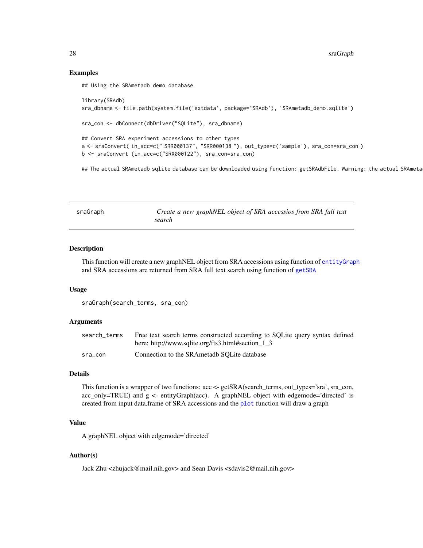# Examples

## Using the SRAmetadb demo database

```
library(SRAdb)
sra_dbname <- file.path(system.file('extdata', package='SRAdb'), 'SRAmetadb_demo.sqlite')
sra_con <- dbConnect(dbDriver("SQLite"), sra_dbname)
## Convert SRA experiment accessions to other types
a <- sraConvert( in_acc=c(" SRR000137", "SRR000138 "), out_type=c('sample'), sra_con=sra_con )
b <- sraConvert (in_acc=c("SRX000122"), sra_con=sra_con)
```
## The actual SRAmetadb sqlite database can be downloaded using function: getSRAdbFile. Warning: the actual SRAmeta

<span id="page-27-1"></span>

| sraGraph | Create a new graphNEL object of SRA accessios from SRA full text |  |  |  |  |
|----------|------------------------------------------------------------------|--|--|--|--|
|          | search                                                           |  |  |  |  |

## Description

This function will create a new graphNEL object from SRA accessions using function of [entityGraph](#page-8-1) and SRA accessions are returned from SRA full text search using function of [getSRA](#page-12-1)

## Usage

sraGraph(search\_terms, sra\_con)

# **Arguments**

| search terms | Free text search terms constructed according to SQLite query syntax defined |
|--------------|-----------------------------------------------------------------------------|
|              | here: http://www.sqlite.org/fts3.html#section_1_3                           |
| sra con      | Connection to the SRAmetadb SOLite database                                 |

## Details

This function is a wrapper of two functions: acc <- getSRA(search\_terms, out\_types='sra', sra\_con, acc\_only=TRUE) and g <- entityGraph(acc). A graphNEL object with edgemode='directed' is created from input data.frame of SRA accessions and the [plot](#page-0-0) function will draw a graph

# Value

A graphNEL object with edgemode='directed'

# Author(s)

Jack Zhu <zhujack@mail.nih.gov> and Sean Davis <sdavis2@mail.nih.gov>

<span id="page-27-0"></span>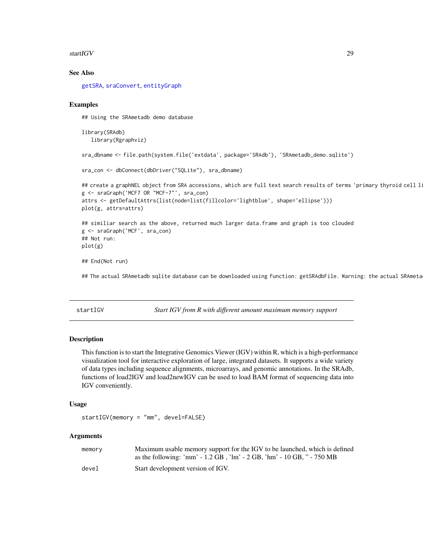## <span id="page-28-0"></span>startIGV 29

## See Also

[getSRA](#page-12-1), [sraConvert](#page-26-1), [entityGraph](#page-8-1)

## Examples

## Using the SRAmetadb demo database

library(SRAdb) library(Rgraphviz)

```
sra_dbname <- file.path(system.file('extdata', package='SRAdb'), 'SRAmetadb_demo.sqlite')
```

```
sra_con <- dbConnect(dbDriver("SQLite"), sra_dbname)
```

```
## create a graphNEL object from SRA accessions, which are full text search results of terms 'primary thyroid cell l:
g <- sraGraph('MCF7 OR "MCF-7"', sra_con)
attrs <- getDefaultAttrs(list(node=list(fillcolor='lightblue', shape='ellipse')))
plot(g, attrs=attrs)
## similiar search as the above, returned much larger data.frame and graph is too clouded
g <- sraGraph('MCF', sra_con)
## Not run:
```

```
plot(g)
```
## End(Not run)

## The actual SRAmetadb sqlite database can be downloaded using function: getSRAdbFile. Warning: the actual SRAmeta

<span id="page-28-1"></span>startIGV *Start IGV from R with different amount maximum memory support*

## Description

This function is to start the Integrative Genomics Viewer (IGV) within R, which is a high-performance visualization tool for interactive exploration of large, integrated datasets. It supports a wide variety of data types including sequence alignments, microarrays, and genomic annotations. In the SRAdb, functions of load2IGV and load2newIGV can be used to load BAM format of sequencing data into IGV conveniently.

## Usage

```
startIGV(memory = "mm", devel=FALSE)
```
#### Arguments

| memory | Maximum usable memory support for the IGV to be launched, which is defined      |
|--------|---------------------------------------------------------------------------------|
|        | as the following: 'mm' - $1.2$ GB, 'lm' - $2$ GB, 'hm' - $10$ GB, '' - $750$ MB |
| devel  | Start development version of IGV.                                               |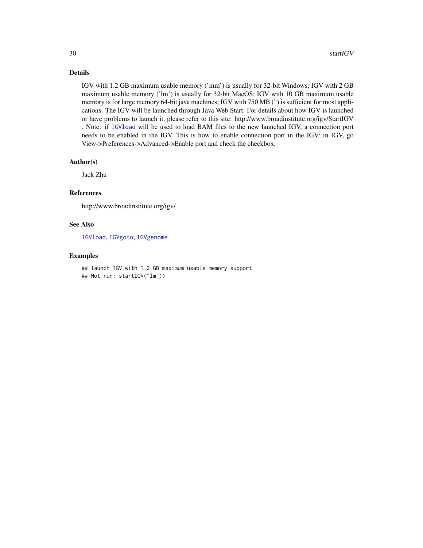# Details

IGV with 1.2 GB maximum usable memory ('mm') is usually for 32-bit Windows; IGV with 2 GB maximum usable memory ('lm') is usually for 32-bit MacOS; IGV with 10 GB maximum usable memory is for large memory 64-bit java machines; IGV with 750 MB (") is sufficient for most applications. The IGV will be launched through Java Web Start. For details about how IGV is launched or have problems to launch it, please refer to this site: http://www.broadinstitute.org/igv/StartIGV . Note: if [IGVload](#page-20-1) will be used to load BAM files to the new launched IGV, a connection port needs to be enabled in the IGV. This is how to enable connection port in the IGV: in IGV, go View->Preferences->Advanced->Enable port and check the checkbox.

## Author(s)

Jack Zhu

# References

http://www.broadinstitute.org/igv/

# See Also

[IGVload](#page-20-1), [IGVgoto](#page-19-1), [IGVgenome](#page-19-2)

## Examples

## launch IGV with 1.2 GB maximum usable memory support ## Not run: startIGV("lm"))

<span id="page-29-0"></span>